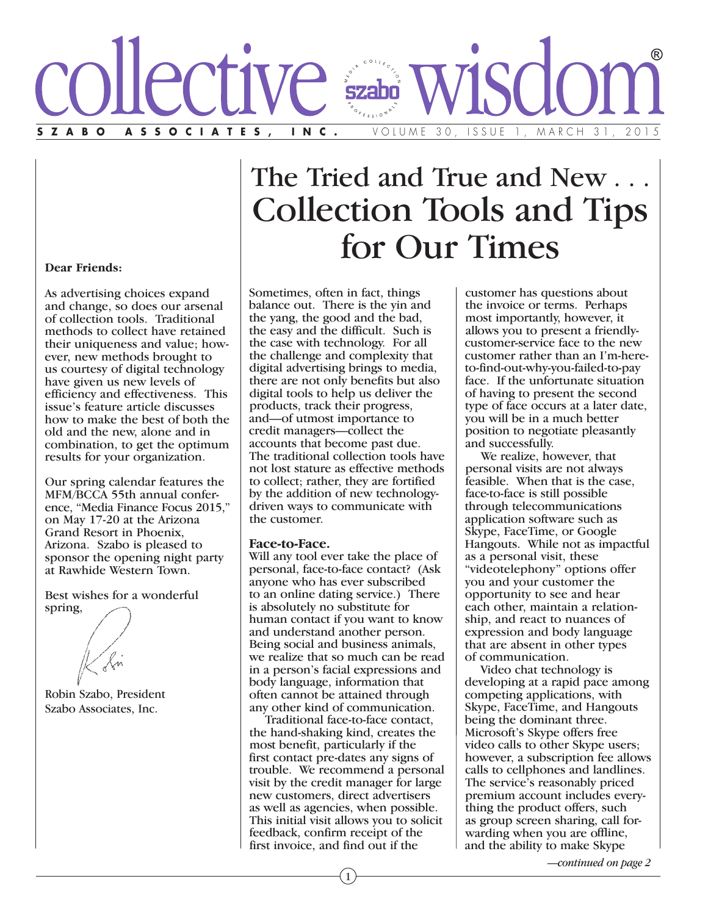

# The Tried and True and New . Collection Tools and Tips for Our Times

**Dear Friends:**

As advertising choices expand and change, so does our arsenal of collection tools. Traditional methods to collect have retained their uniqueness and value; however, new methods brought to us courtesy of digital technology have given us new levels of efficiency and effectiveness. This issue's feature article discusses how to make the best of both the old and the new, alone and in combination, to get the optimum results for your organization.

Our spring calendar features the MFM/BCCA 55th annual conference, "Media Finance Focus 2015," on May 17-20 at the Arizona Grand Resort in Phoenix, Arizona. Szabo is pleased to sponsor the opening night party at Rawhide Western Town.

Best wishes for a wonderful spring,

Robin Szabo, President Szabo Associates, Inc.

Sometimes, often in fact, things balance out. There is the yin and the yang, the good and the bad, the easy and the difficult. Such is the case with technology. For all the challenge and complexity that digital advertising brings to media, there are not only benefits but also digital tools to help us deliver the products, track their progress, and—of utmost importance to credit managers—collect the accounts that become past due. The traditional collection tools have not lost stature as effective methods to collect; rather, they are fortified by the addition of new technologydriven ways to communicate with the customer.

**Face-to-Face.** Will any tool ever take the place of personal, face-to-face contact? (Ask anyone who has ever subscribed to an online dating service.) There is absolutely no substitute for human contact if you want to know and understand another person. Being social and business animals, we realize that so much can be read in a person's facial expressions and body language, information that often cannot be attained through any other kind of communication.

 Traditional face-to-face contact, the hand-shaking kind, creates the most benefit, particularly if the first contact pre-dates any signs of trouble. We recommend a personal visit by the credit manager for large new customers, direct advertisers as well as agencies, when possible. This initial visit allows you to solicit feedback, confirm receipt of the first invoice, and find out if the

customer has questions about the invoice or terms. Perhaps most importantly, however, it allows you to present a friendlycustomer-service face to the new customer rather than an I'm-hereto-find-out-why-you-failed-to-pay face. If the unfortunate situation of having to present the second type of face occurs at a later date, you will be in a much better position to negotiate pleasantly and successfully.

 We realize, however, that personal visits are not always feasible. When that is the case, face-to-face is still possible through telecommunications application software such as Skype, FaceTime, or Google Hangouts. While not as impactful as a personal visit, these "videotelephony" options offer you and your customer the opportunity to see and hear each other, maintain a relationship, and react to nuances of expression and body language that are absent in other types of communication.

 Video chat technology is developing at a rapid pace among competing applications, with Skype, FaceTime, and Hangouts being the dominant three. Microsoft's Skype offers free video calls to other Skype users; however, a subscription fee allows calls to cellphones and landlines. The service's reasonably priced premium account includes everything the product offers, such as group screen sharing, call forwarding when you are offline, and the ability to make Skype

*—continued on page 2*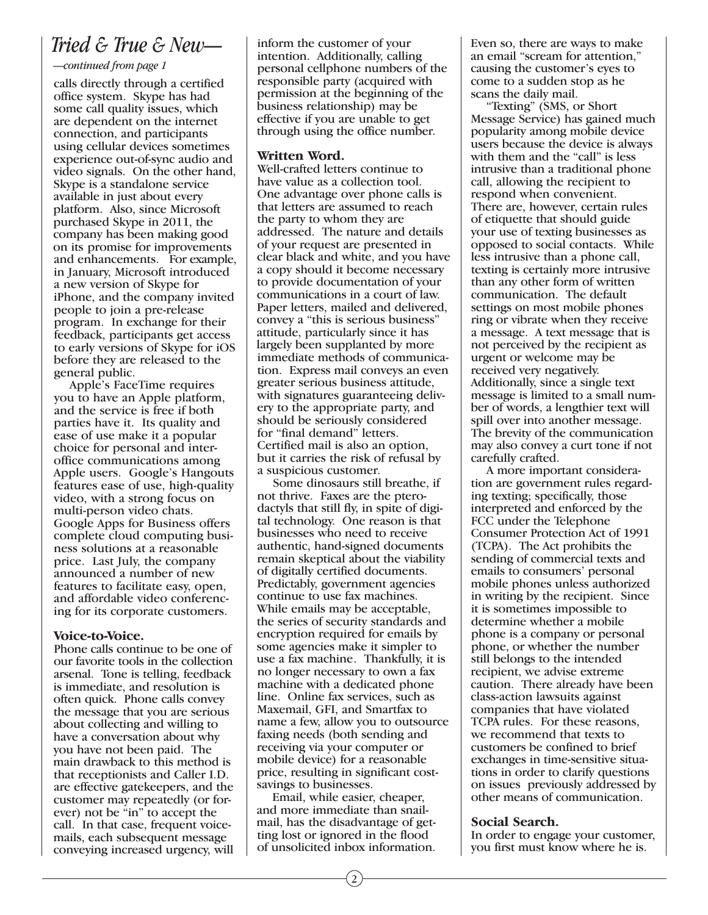### *Tried & True & New—*

*—continued from page 1*

calls directly through a certified office system. Skype has had some call quality issues, which are dependent on the internet connection, and participants using cellular devices sometimes experience out-of-sync audio and video signals. On the other hand, Skype is a standalone service available in just about every platform. Also, since Microsoft purchased Skype in 2011, the company has been making good on its promise for improvements and enhancements. For example, in January, Microsoft introduced a new version of Skype for iPhone, and the company invited people to join a pre-release program. In exchange for their feedback, participants get access to early versions of Skype for iOS before they are released to the general public.

 Apple's FaceTime requires you to have an Apple platform, and the service is free if both parties have it. Its quality and ease of use make it a popular choice for personal and interoffice communications among Apple users. Google's Hangouts features ease of use, high-quality video, with a strong focus on multi-person video chats. Google Apps for Business offers complete cloud computing business solutions at a reasonable price. Last July, the company announced a number of new features to facilitate easy, open, and affordable video conferencing for its corporate customers.

**Voice-to-Voice.** Phone calls continue to be one of our favorite tools in the collection arsenal. Tone is telling, feedback is immediate, and resolution is often quick. Phone calls convey the message that you are serious about collecting and willing to have a conversation about why you have not been paid. The main drawback to this method is that receptionists and Caller I.D. are effective gatekeepers, and the customer may repeatedly (or forever) not be "in" to accept the call. In that case, frequent voicemails, each subsequent message conveying increased urgency, will inform the customer of your intention. Additionally, calling personal cellphone numbers of the responsible party (acquired with permission at the beginning of the business relationship) may be effective if you are unable to get through using the office number.

**Written Word.** Well-crafted letters continue to have value as a collection tool. One advantage over phone calls is that letters are assumed to reach the party to whom they are addressed. The nature and details of your request are presented in clear black and white, and you have a copy should it become necessary to provide documentation of your communications in a court of law. Paper letters, mailed and delivered, convey a "this is serious business" attitude, particularly since it has largely been supplanted by more immediate methods of communication. Express mail conveys an even greater serious business attitude, with signatures guaranteeing delivery to the appropriate party, and should be seriously considered for "final demand" letters. Certified mail is also an option, but it carries the risk of refusal by a suspicious customer.

 Some dinosaurs still breathe, if not thrive. Faxes are the pterodactyls that still fly, in spite of digital technology. One reason is that businesses who need to receive authentic, hand-signed documents remain skeptical about the viability of digitally certified documents. Predictably, government agencies continue to use fax machines. While emails may be acceptable, the series of security standards and encryption required for emails by some agencies make it simpler to use a fax machine. Thankfully, it is no longer necessary to own a fax machine with a dedicated phone line. Online fax services, such as Maxemail, GFI, and Smartfax to name a few, allow you to outsource faxing needs (both sending and receiving via your computer or mobile device) for a reasonable price, resulting in significant costsavings to businesses.

 Email, while easier, cheaper, and more immediate than snailmail, has the disadvantage of getting lost or ignored in the flood of unsolicited inbox information.

Even so, there are ways to make an email "scream for attention," causing the customer's eyes to come to a sudden stop as he scans the daily mail.

 "Texting" (SMS, or Short Message Service) has gained much popularity among mobile device users because the device is always with them and the "call" is less intrusive than a traditional phone call, allowing the recipient to respond when convenient. There are, however, certain rules of etiquette that should guide your use of texting businesses as opposed to social contacts. While less intrusive than a phone call, texting is certainly more intrusive than any other form of written communication. The default settings on most mobile phones ring or vibrate when they receive a message. A text message that is not perceived by the recipient as urgent or welcome may be received very negatively. Additionally, since a single text message is limited to a small number of words, a lengthier text will spill over into another message. The brevity of the communication may also convey a curt tone if not carefully crafted.

 A more important consideration are government rules regarding texting; specifically, those interpreted and enforced by the FCC under the Telephone Consumer Protection Act of 1991 (TCPA). The Act prohibits the sending of commercial texts and emails to consumers' personal mobile phones unless authorized in writing by the recipient. Since it is sometimes impossible to determine whether a mobile phone is a company or personal phone, or whether the number still belongs to the intended recipient, we advise extreme caution. There already have been class-action lawsuits against companies that have violated TCPA rules. For these reasons, we recommend that texts to customers be confined to brief exchanges in time-sensitive situations in order to clarify questions on issues previously addressed by other means of communication.

**Social Search.** In order to engage your customer, you first must know where he is.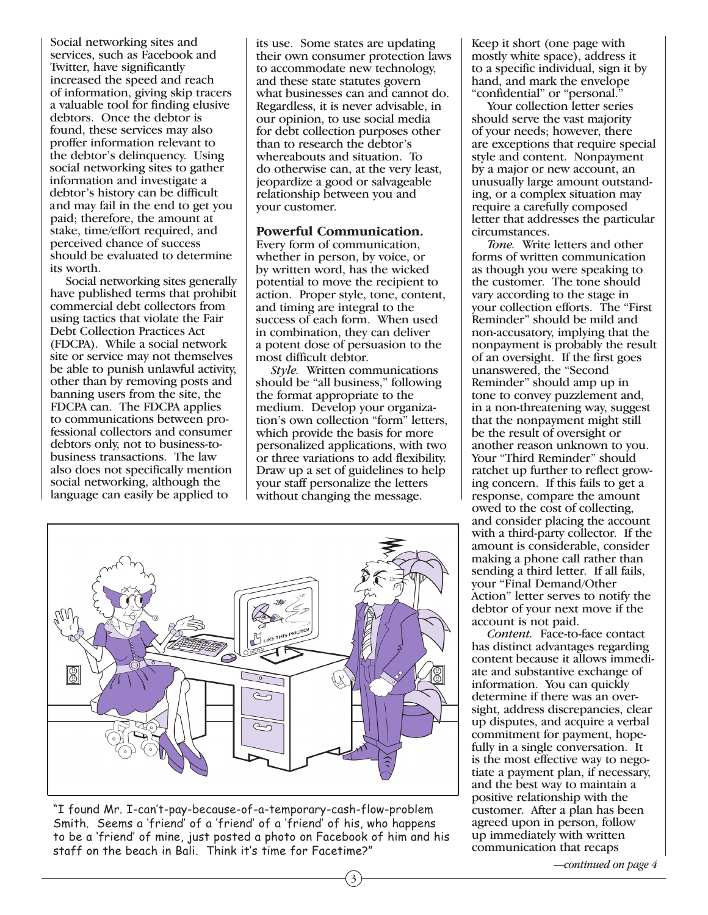Social networking sites and services, such as Facebook and Twitter, have significantly increased the speed and reach of information, giving skip tracers a valuable tool for finding elusive debtors. Once the debtor is found, these services may also proffer information relevant to the debtor's delinquency. Using social networking sites to gather information and investigate a debtor's history can be difficult and may fail in the end to get you paid; therefore, the amount at stake, time/effort required, and perceived chance of success should be evaluated to determine its worth.

 Social networking sites generally have published terms that prohibit commercial debt collectors from using tactics that violate the Fair Debt Collection Practices Act (FDCPA). While a social network site or service may not themselves be able to punish unlawful activity, other than by removing posts and banning users from the site, the FDCPA can. The FDCPA applies to communications between professional collectors and consumer debtors only, not to business-tobusiness transactions. The law also does not specifically mention social networking, although the language can easily be applied to

its use. Some states are updating their own consumer protection laws to accommodate new technology, and these state statutes govern what businesses can and cannot do. Regardless, it is never advisable, in our opinion, to use social media for debt collection purposes other than to research the debtor's whereabouts and situation. To do otherwise can, at the very least, jeopardize a good or salvageable relationship between you and your customer.

## **Powerful Communication.** Every form of communication,

whether in person, by voice, or by written word, has the wicked potential to move the recipient to action. Proper style, tone, content, and timing are integral to the success of each form. When used in combination, they can deliver a potent dose of persuasion to the most difficult debtor.

 *Style.* Written communications should be "all business," following the format appropriate to the medium. Develop your organization's own collection "form" letters, which provide the basis for more personalized applications, with two or three variations to add flexibility. Draw up a set of guidelines to help your staff personalize the letters without changing the message.

3



"I found Mr. I-can't-pay-because-of-a-temporary-cash-flow-problem Smith. Seems a 'friend' of a 'friend' of a 'friend' of his, who happens to be a 'friend' of mine, just posted a photo on Facebook of him and his staff on the beach in Bali. Think it's time for Facetime?"

Keep it short (one page with mostly white space), address it to a specific individual, sign it by hand, and mark the envelope "confidential" or "personal."

 Your collection letter series should serve the vast majority of your needs; however, there are exceptions that require special style and content. Nonpayment by a major or new account, an unusually large amount outstanding, or a complex situation may require a carefully composed letter that addresses the particular circumstances.

 *Tone.* Write letters and other forms of written communication as though you were speaking to the customer. The tone should vary according to the stage in your collection efforts. The "First Reminder" should be mild and non-accusatory, implying that the nonpayment is probably the result of an oversight. If the first goes unanswered, the "Second Reminder" should amp up in tone to convey puzzlement and, in a non-threatening way, suggest that the nonpayment might still be the result of oversight or another reason unknown to you. Your "Third Reminder" should ratchet up further to reflect growing concern. If this fails to get a response, compare the amount owed to the cost of collecting, and consider placing the account with a third-party collector. If the amount is considerable, consider making a phone call rather than sending a third letter. If all fails, your "Final Demand/Other Action" letter serves to notify the debtor of your next move if the account is not paid.

 *Content.* Face-to-face contact has distinct advantages regarding content because it allows immediate and substantive exchange of information. You can quickly determine if there was an oversight, address discrepancies, clear up disputes, and acquire a verbal commitment for payment, hopefully in a single conversation. It is the most effective way to negotiate a payment plan, if necessary, and the best way to maintain a positive relationship with the customer. After a plan has been agreed upon in person, follow up immediately with written communication that recaps